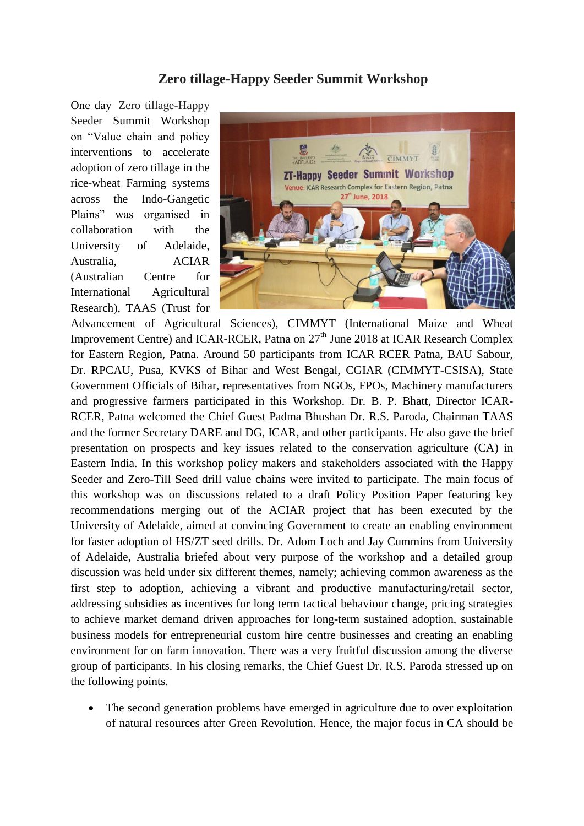## **Zero tillage-Happy Seeder Summit Workshop**

One day Zero tillage-Happy Seeder Summit Workshop on "Value chain and policy interventions to accelerate adoption of zero tillage in the rice-wheat Farming systems across the Indo-Gangetic Plains" was organised in collaboration with the University of Adelaide, Australia, ACIAR (Australian Centre for International Agricultural Research), TAAS (Trust for



Advancement of Agricultural Sciences), CIMMYT (International Maize and Wheat Improvement Centre) and ICAR-RCER, Patna on  $27<sup>th</sup>$  June 2018 at ICAR Research Complex for Eastern Region, Patna. Around 50 participants from ICAR RCER Patna, BAU Sabour, Dr. RPCAU, Pusa, KVKS of Bihar and West Bengal, CGIAR (CIMMYT-CSISA), State Government Officials of Bihar, representatives from NGOs, FPOs, Machinery manufacturers and progressive farmers participated in this Workshop. Dr. B. P. Bhatt, Director ICAR-RCER, Patna welcomed the Chief Guest Padma Bhushan Dr. R.S. Paroda, Chairman TAAS and the former Secretary DARE and DG, ICAR, and other participants. He also gave the brief presentation on prospects and key issues related to the conservation agriculture (CA) in Eastern India. In this workshop policy makers and stakeholders associated with the Happy Seeder and Zero-Till Seed drill value chains were invited to participate. The main focus of this workshop was on discussions related to a draft Policy Position Paper featuring key recommendations merging out of the ACIAR project that has been executed by the University of Adelaide, aimed at convincing Government to create an enabling environment for faster adoption of HS/ZT seed drills. Dr. Adom Loch and Jay Cummins from University of Adelaide, Australia briefed about very purpose of the workshop and a detailed group discussion was held under six different themes, namely; achieving common awareness as the first step to adoption, achieving a vibrant and productive manufacturing/retail sector, addressing subsidies as incentives for long term tactical behaviour change, pricing strategies to achieve market demand driven approaches for long-term sustained adoption, sustainable business models for entrepreneurial custom hire centre businesses and creating an enabling environment for on farm innovation. There was a very fruitful discussion among the diverse group of participants. In his closing remarks, the Chief Guest Dr. R.S. Paroda stressed up on the following points.

 The second generation problems have emerged in agriculture due to over exploitation of natural resources after Green Revolution. Hence, the major focus in CA should be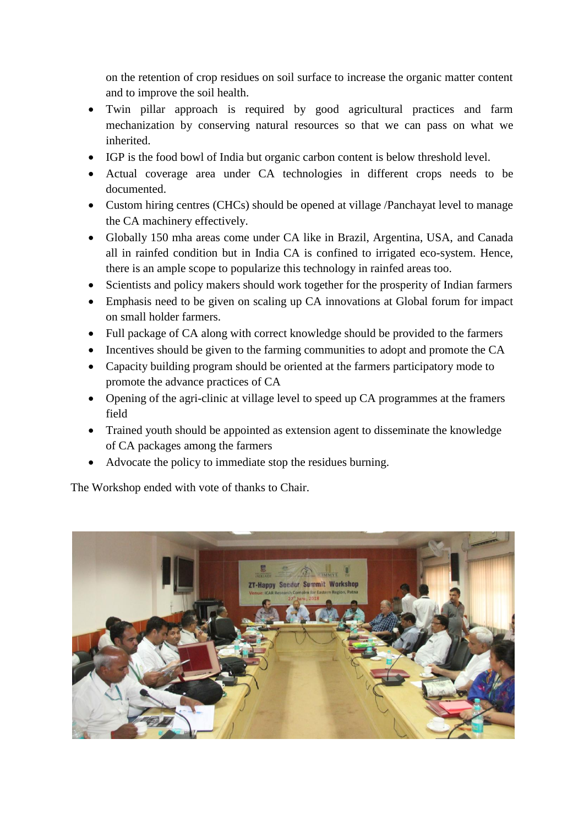on the retention of crop residues on soil surface to increase the organic matter content and to improve the soil health.

- Twin pillar approach is required by good agricultural practices and farm mechanization by conserving natural resources so that we can pass on what we inherited.
- IGP is the food bowl of India but organic carbon content is below threshold level.
- Actual coverage area under CA technologies in different crops needs to be documented.
- Custom hiring centres (CHCs) should be opened at village /Panchayat level to manage the CA machinery effectively.
- Globally 150 mha areas come under CA like in Brazil, Argentina, USA, and Canada all in rainfed condition but in India CA is confined to irrigated eco-system. Hence, there is an ample scope to popularize this technology in rainfed areas too.
- Scientists and policy makers should work together for the prosperity of Indian farmers
- Emphasis need to be given on scaling up CA innovations at Global forum for impact on small holder farmers.
- Full package of CA along with correct knowledge should be provided to the farmers
- Incentives should be given to the farming communities to adopt and promote the CA
- Capacity building program should be oriented at the farmers participatory mode to promote the advance practices of CA
- Opening of the agri-clinic at village level to speed up CA programmes at the framers field
- Trained youth should be appointed as extension agent to disseminate the knowledge of CA packages among the farmers
- Advocate the policy to immediate stop the residues burning.

The Workshop ended with vote of thanks to Chair.